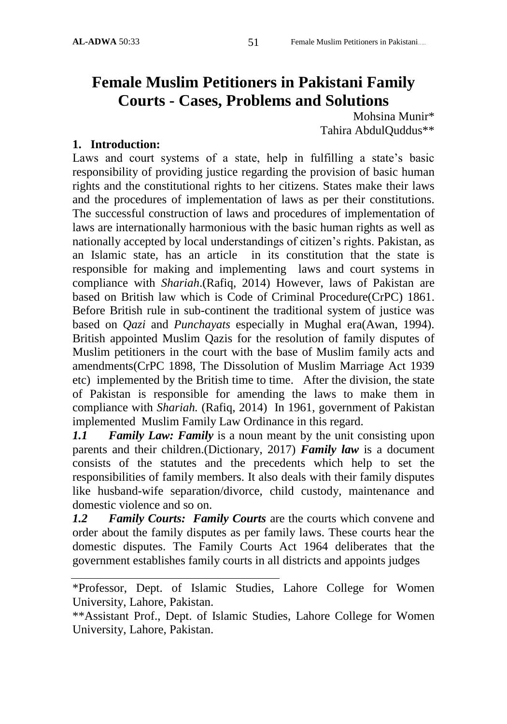# **Female Muslim Petitioners in Pakistani Family Courts - Cases, Problems and Solutions**

Mohsina Munir\* Tahira AbdulQuddus\*\*

## **1. Introduction:**

Laws and court systems of a state, help in fulfilling a state's basic responsibility of providing justice regarding the provision of basic human rights and the constitutional rights to her citizens. States make their laws and the procedures of implementation of laws as per their constitutions. The successful construction of laws and procedures of implementation of laws are internationally harmonious with the basic human rights as well as nationally accepted by local understandings of citizen's rights. Pakistan, as an Islamic state, has an article in its constitution that the state is responsible for making and implementing laws and court systems in compliance with *Shariah*.(Rafiq, 2014) However, laws of Pakistan are based on British law which is Code of Criminal Procedure(CrPC) 1861. Before British rule in sub-continent the traditional system of justice was based on *Qazi* and *Punchayats* especially in Mughal era(Awan, 1994). British appointed Muslim Qazis for the resolution of family disputes of Muslim petitioners in the court with the base of Muslim family acts and amendments(CrPC 1898, The Dissolution of Muslim Marriage Act 1939 etc) implemented by the British time to time. After the division, the state of Pakistan is responsible for amending the laws to make them in compliance with *Shariah.* (Rafiq, 2014) In 1961, government of Pakistan implemented Muslim Family Law Ordinance in this regard.

*1.1 Family Law: Family* is a noun meant by the unit consisting upon parents and their children.(Dictionary, 2017) *Family law* is a document consists of the statutes and the precedents which help to set the responsibilities of family members. It also deals with their family disputes like husband-wife separation/divorce, child custody, maintenance and domestic violence and so on.

*1.2 Family Courts: Family Courts* are the courts which convene and order about the family disputes as per family laws. These courts hear the domestic disputes. The Family Courts Act 1964 deliberates that the government establishes family courts in all districts and appoints judges

<sup>\*</sup>Professor, Dept. of Islamic Studies, Lahore College for Women University, Lahore, Pakistan.

<sup>\*\*</sup>Assistant Prof., Dept. of Islamic Studies, Lahore College for Women University, Lahore, Pakistan.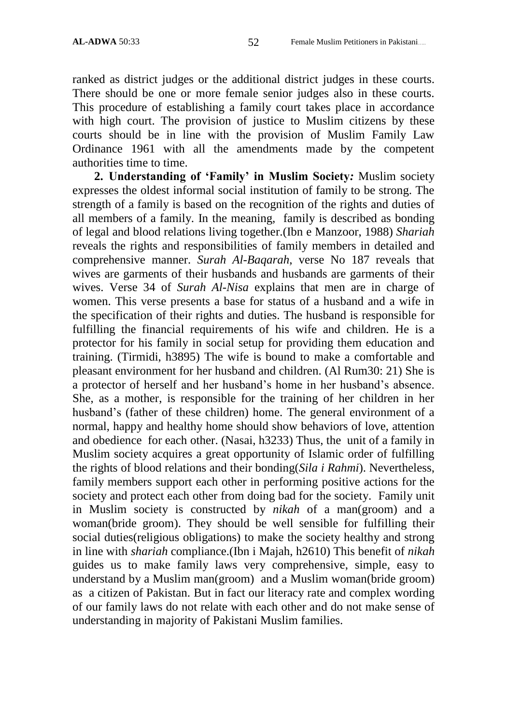ranked as district judges or the additional district judges in these courts. There should be one or more female senior judges also in these courts. This procedure of establishing a family court takes place in accordance with high court. The provision of justice to Muslim citizens by these courts should be in line with the provision of Muslim Family Law Ordinance 1961 with all the amendments made by the competent authorities time to time.

**2. Understanding of 'Family' in Muslim Society***:* Muslim society expresses the oldest informal social institution of family to be strong. The strength of a family is based on the recognition of the rights and duties of all members of a family. In the meaning, family is described as bonding of legal and blood relations living together.(Ibn e Manzoor, 1988) *Shariah* reveals the rights and responsibilities of family members in detailed and comprehensive manner. *Surah Al-Baqarah*, verse No 187 reveals that wives are garments of their husbands and husbands are garments of their wives. Verse 34 of *Surah Al-Nisa* explains that men are in charge of women. This verse presents a base for status of a husband and a wife in the specification of their rights and duties. The husband is responsible for fulfilling the financial requirements of his wife and children. He is a protector for his family in social setup for providing them education and training. (Tirmidi, h3895) The wife is bound to make a comfortable and pleasant environment for her husband and children. (Al Rum30: 21) She is a protector of herself and her husband's home in her husband's absence. She, as a mother, is responsible for the training of her children in her husband's (father of these children) home. The general environment of a normal, happy and healthy home should show behaviors of love, attention and obedience for each other. (Nasai, h3233) Thus, the unit of a family in Muslim society acquires a great opportunity of Islamic order of fulfilling the rights of blood relations and their bonding(*Sila i Rahmi*). Nevertheless, family members support each other in performing positive actions for the society and protect each other from doing bad for the society. Family unit in Muslim society is constructed by *nikah* of a man(groom) and a woman(bride groom). They should be well sensible for fulfilling their social duties(religious obligations) to make the society healthy and strong in line with *shariah* compliance.(Ibn i Majah, h2610) This benefit of *nikah* guides us to make family laws very comprehensive, simple, easy to understand by a Muslim man(groom) and a Muslim woman(bride groom) as a citizen of Pakistan. But in fact our literacy rate and complex wording of our family laws do not relate with each other and do not make sense of understanding in majority of Pakistani Muslim families.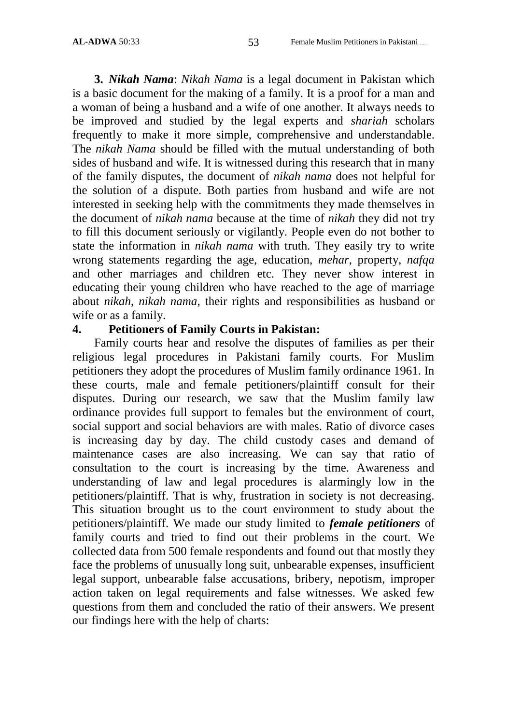**3.** *Nikah Nama*: *Nikah Nama* is a legal document in Pakistan which is a basic document for the making of a family. It is a proof for a man and a woman of being a husband and a wife of one another. It always needs to be improved and studied by the legal experts and *shariah* scholars frequently to make it more simple, comprehensive and understandable. The *nikah Nama* should be filled with the mutual understanding of both sides of husband and wife. It is witnessed during this research that in many of the family disputes, the document of *nikah nama* does not helpful for the solution of a dispute. Both parties from husband and wife are not interested in seeking help with the commitments they made themselves in the document of *nikah nama* because at the time of *nikah* they did not try to fill this document seriously or vigilantly. People even do not bother to state the information in *nikah nama* with truth. They easily try to write wrong statements regarding the age, education, *mehar*, property, *nafqa* and other marriages and children etc. They never show interest in educating their young children who have reached to the age of marriage about *nikah*, *nikah nama*, their rights and responsibilities as husband or wife or as a family.

## **4. Petitioners of Family Courts in Pakistan:**

Family courts hear and resolve the disputes of families as per their religious legal procedures in Pakistani family courts. For Muslim petitioners they adopt the procedures of Muslim family ordinance 1961. In these courts, male and female petitioners/plaintiff consult for their disputes. During our research, we saw that the Muslim family law ordinance provides full support to females but the environment of court, social support and social behaviors are with males. Ratio of divorce cases is increasing day by day. The child custody cases and demand of maintenance cases are also increasing. We can say that ratio of consultation to the court is increasing by the time. Awareness and understanding of law and legal procedures is alarmingly low in the petitioners/plaintiff. That is why, frustration in society is not decreasing. This situation brought us to the court environment to study about the petitioners/plaintiff. We made our study limited to *female petitioners* of family courts and tried to find out their problems in the court. We collected data from 500 female respondents and found out that mostly they face the problems of unusually long suit, unbearable expenses, insufficient legal support, unbearable false accusations, bribery, nepotism, improper action taken on legal requirements and false witnesses. We asked few questions from them and concluded the ratio of their answers. We present our findings here with the help of charts: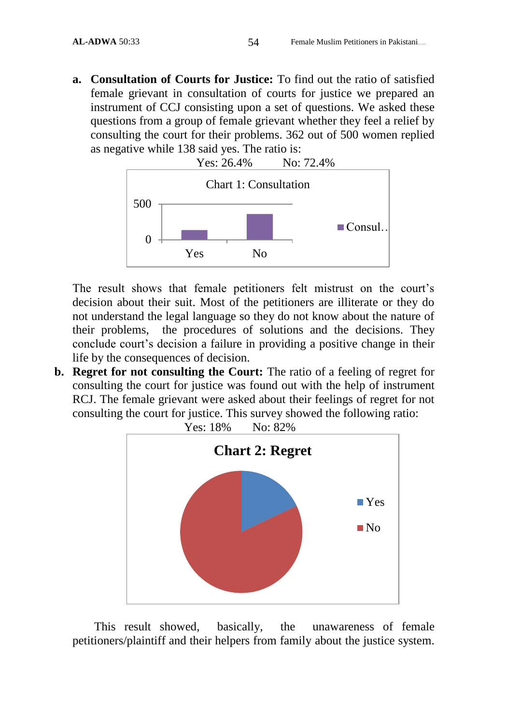**a. Consultation of Courts for Justice:** To find out the ratio of satisfied female grievant in consultation of courts for justice we prepared an instrument of CCJ consisting upon a set of questions. We asked these questions from a group of female grievant whether they feel a relief by consulting the court for their problems. 362 out of 500 women replied as negative while 138 said yes. The ratio is:



The result shows that female petitioners felt mistrust on the court's decision about their suit. Most of the petitioners are illiterate or they do not understand the legal language so they do not know about the nature of their problems, the procedures of solutions and the decisions. They conclude court's decision a failure in providing a positive change in their life by the consequences of decision.

**b. Regret for not consulting the Court:** The ratio of a feeling of regret for consulting the court for justice was found out with the help of instrument RCJ. The female grievant were asked about their feelings of regret for not consulting the court for justice. This survey showed the following ratio:



This result showed, basically, the unawareness of female petitioners/plaintiff and their helpers from family about the justice system.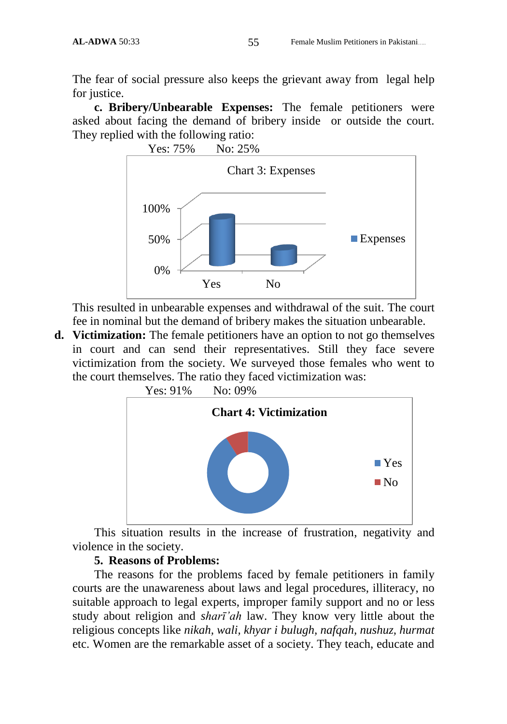The fear of social pressure also keeps the grievant away from legal help for justice.

**c. Bribery/Unbearable Expenses:** The female petitioners were asked about facing the demand of bribery inside or outside the court. They replied with the following ratio:



This resulted in unbearable expenses and withdrawal of the suit. The court fee in nominal but the demand of bribery makes the situation unbearable.

**d. Victimization:** The female petitioners have an option to not go themselves in court and can send their representatives. Still they face severe victimization from the society. We surveyed those females who went to the court themselves. The ratio they faced victimization was:



Yes: 91% No: 09%

This situation results in the increase of frustration, negativity and violence in the society.

#### **5. Reasons of Problems:**

The reasons for the problems faced by female petitioners in family courts are the unawareness about laws and legal procedures, illiteracy, no suitable approach to legal experts, improper family support and no or less study about religion and *sharī'ah* law. They know very little about the religious concepts like *nikah, wali, khyar i bulugh, nafqah, nushuz, hurmat*  etc. Women are the remarkable asset of a society. They teach, educate and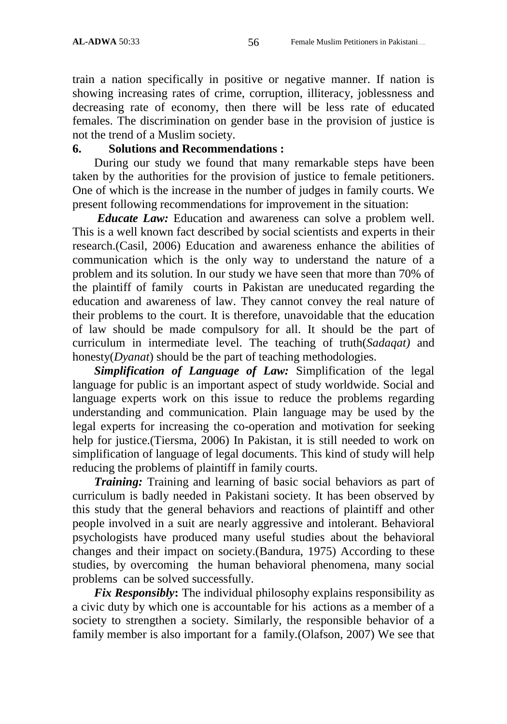train a nation specifically in positive or negative manner. If nation is showing increasing rates of crime, corruption, illiteracy, joblessness and decreasing rate of economy, then there will be less rate of educated females. The discrimination on gender base in the provision of justice is not the trend of a Muslim society.

### **6. Solutions and Recommendations :**

During our study we found that many remarkable steps have been taken by the authorities for the provision of justice to female petitioners. One of which is the increase in the number of judges in family courts. We present following recommendations for improvement in the situation:

*Educate Law:* Education and awareness can solve a problem well. This is a well known fact described by social scientists and experts in their research.(Casil, 2006) Education and awareness enhance the abilities of communication which is the only way to understand the nature of a problem and its solution. In our study we have seen that more than 70% of the plaintiff of family courts in Pakistan are uneducated regarding the education and awareness of law. They cannot convey the real nature of their problems to the court. It is therefore, unavoidable that the education of law should be made compulsory for all. It should be the part of curriculum in intermediate level. The teaching of truth(*Sadaqat)* and honesty(*Dyanat*) should be the part of teaching methodologies.

*Simplification of Language of Law:* Simplification of the legal language for public is an important aspect of study worldwide. Social and language experts work on this issue to reduce the problems regarding understanding and communication. Plain language may be used by the legal experts for increasing the co-operation and motivation for seeking help for justice.(Tiersma, 2006) In Pakistan, it is still needed to work on simplification of language of legal documents. This kind of study will help reducing the problems of plaintiff in family courts.

*Training:* Training and learning of basic social behaviors as part of curriculum is badly needed in Pakistani society. It has been observed by this study that the general behaviors and reactions of plaintiff and other people involved in a suit are nearly aggressive and intolerant. Behavioral psychologists have produced many useful studies about the behavioral changes and their impact on society.(Bandura, 1975) According to these studies, by overcoming the human behavioral phenomena, many social problems can be solved successfully.

*Fix Responsibly***:** The individual philosophy explains responsibility as a civic duty by which one is accountable for his actions as a member of a society to strengthen a society. Similarly, the responsible behavior of a family member is also important for a family.(Olafson, 2007) We see that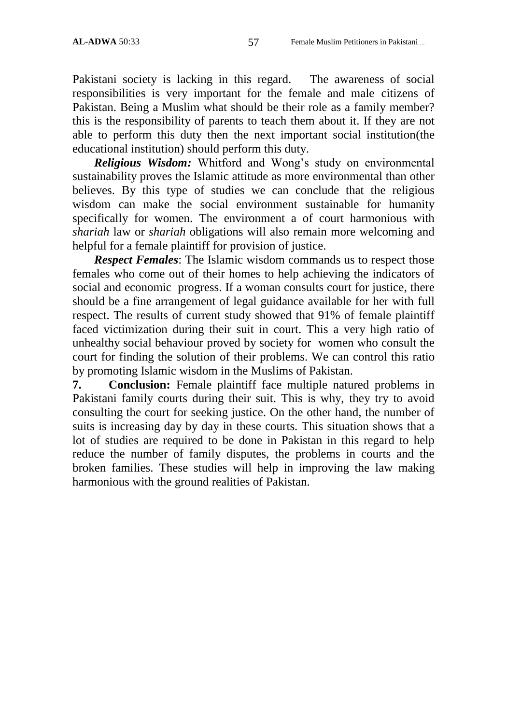Pakistani society is lacking in this regard. The awareness of social responsibilities is very important for the female and male citizens of Pakistan. Being a Muslim what should be their role as a family member? this is the responsibility of parents to teach them about it. If they are not able to perform this duty then the next important social institution(the educational institution) should perform this duty.

*Religious Wisdom:* Whitford and Wong's study on environmental sustainability proves the Islamic attitude as more environmental than other believes. By this type of studies we can conclude that the religious wisdom can make the social environment sustainable for humanity specifically for women. The environment a of court harmonious with *shariah* law or *shariah* obligations will also remain more welcoming and helpful for a female plaintiff for provision of justice.

*Respect Females*: The Islamic wisdom commands us to respect those females who come out of their homes to help achieving the indicators of social and economic progress. If a woman consults court for justice, there should be a fine arrangement of legal guidance available for her with full respect. The results of current study showed that 91% of female plaintiff faced victimization during their suit in court. This a very high ratio of unhealthy social behaviour proved by society for women who consult the court for finding the solution of their problems. We can control this ratio by promoting Islamic wisdom in the Muslims of Pakistan.

**7. Conclusion:** Female plaintiff face multiple natured problems in Pakistani family courts during their suit. This is why, they try to avoid consulting the court for seeking justice. On the other hand, the number of suits is increasing day by day in these courts. This situation shows that a lot of studies are required to be done in Pakistan in this regard to help reduce the number of family disputes, the problems in courts and the broken families. These studies will help in improving the law making harmonious with the ground realities of Pakistan.